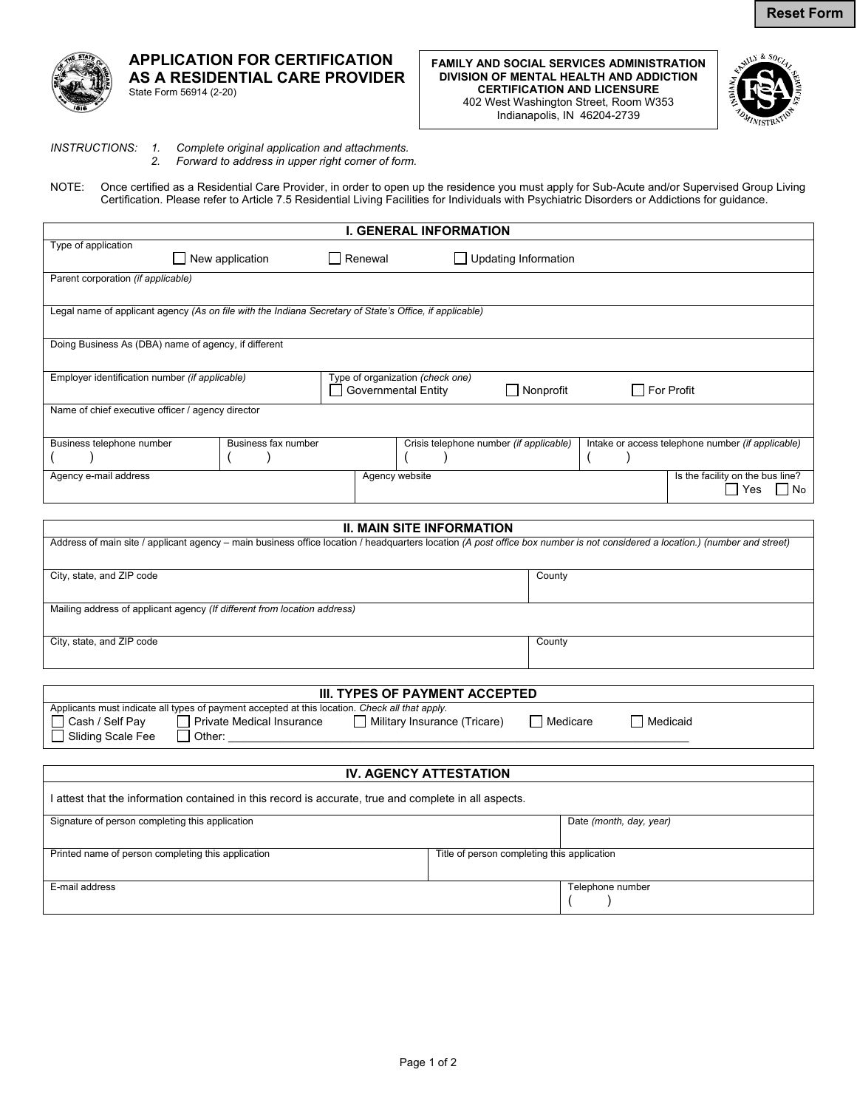

# **APPLICATION FOR CERTIFICATION AS A RESIDENTIAL CARE PROVIDER**

State Form 56914 (2-20)

#### **FAMILY AND SOCIAL SERVICES ADMINISTRATION DIVISION OF MENTAL HEALTH AND ADDICTION CERTIFICATION AND LICENSURE**  402 West Washington Street, Room W353 Indianapolis, IN 46204-2739



*INSTRUCTIONS: 1. Complete original application and attachments. 2. Forward to address in upper right corner of form.* 

NOTE: Once certified as a Residential Care Provider, in order to open up the residence you must apply for Sub-Acute and/or Supervised Group Living Certification. Please refer to Article 7.5 Residential Living Facilities for Individuals with Psychiatric Disorders or Addictions for guidance.

| <b>I. GENERAL INFORMATION</b>                     |                                                                                                                                                                              |         |                                                                |           |                                                               |
|---------------------------------------------------|------------------------------------------------------------------------------------------------------------------------------------------------------------------------------|---------|----------------------------------------------------------------|-----------|---------------------------------------------------------------|
| Type of application                               | New application<br>$\mathsf{L}$                                                                                                                                              | Renewal | <b>Updating Information</b>                                    |           |                                                               |
| Parent corporation (if applicable)                |                                                                                                                                                                              |         |                                                                |           |                                                               |
|                                                   | Legal name of applicant agency (As on file with the Indiana Secretary of State's Office, if applicable)                                                                      |         |                                                                |           |                                                               |
|                                                   | Doing Business As (DBA) name of agency, if different                                                                                                                         |         |                                                                |           |                                                               |
| Employer identification number (if applicable)    |                                                                                                                                                                              |         | Type of organization (check one)<br><b>Governmental Entity</b> | Nonprofit | □ For Profit                                                  |
| Name of chief executive officer / agency director |                                                                                                                                                                              |         |                                                                |           |                                                               |
| Business telephone number                         | Business fax number                                                                                                                                                          |         | Crisis telephone number (if applicable)                        |           | Intake or access telephone number (if applicable)             |
| Agency e-mail address                             |                                                                                                                                                                              |         | Agency website                                                 |           | Is the facility on the bus line?<br>$\vert$ $\vert$ No<br>Yes |
|                                                   |                                                                                                                                                                              |         | <b>II. MAIN SITE INFORMATION</b>                               |           |                                                               |
|                                                   | Address of main site / applicant agency - main business office location / headquarters location (A post office box number is not considered a location.) (number and street) |         |                                                                |           |                                                               |
| City, state, and ZIP code                         |                                                                                                                                                                              |         |                                                                | County    |                                                               |

Mailing address of applicant agency *(If different from location address)*  City, state, and ZIP code **County** 

| III. TYPES OF PAYMENT ACCEPTED |                                                                                                |                              |            |            |  |
|--------------------------------|------------------------------------------------------------------------------------------------|------------------------------|------------|------------|--|
|                                | Applicants must indicate all types of payment accepted at this location. Check all that apply. |                              |            |            |  |
| LCash / Self Pav               | l Private Medical Insurance                                                                    | Military Insurance (Tricare) | I Medicare | l Medicaid |  |
| Sliding Scale Fee              | Other:                                                                                         |                              |            |            |  |

## **IV. AGENCY ATTESTATION**

| I attest that the information contained in this record is accurate, true and complete in all aspects. |                                             |  |  |  |
|-------------------------------------------------------------------------------------------------------|---------------------------------------------|--|--|--|
| Signature of person completing this application                                                       | Date (month, day, year)                     |  |  |  |
| Printed name of person completing this application                                                    | Title of person completing this application |  |  |  |
| E-mail address                                                                                        | Telephone number                            |  |  |  |